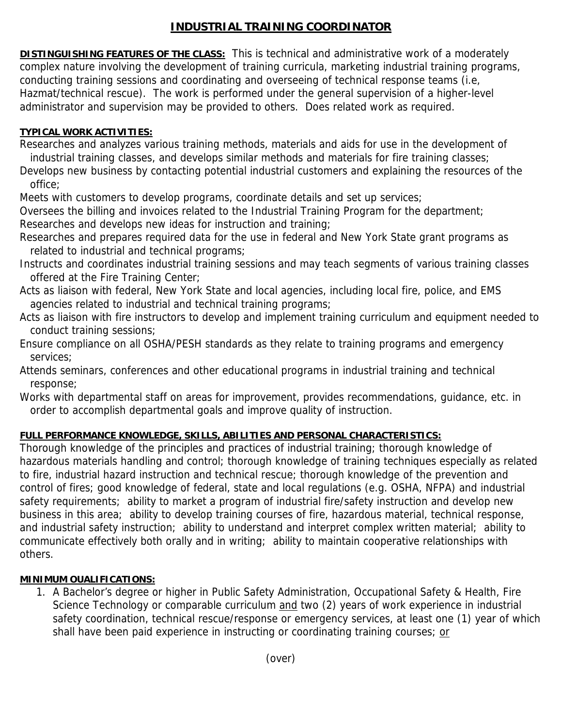## **INDUSTRIAL TRAINING COORDINATOR**

**DISTINGUISHING FEATURES OF THE CLASS:** This is technical and administrative work of a moderately complex nature involving the development of training curricula, marketing industrial training programs, conducting training sessions and coordinating and overseeing of technical response teams (i.e, Hazmat/technical rescue). The work is performed under the general supervision of a higher-level administrator and supervision may be provided to others. Does related work as required.

## **TYPICAL WORK ACTIVITIES:**

- Researches and analyzes various training methods, materials and aids for use in the development of industrial training classes, and develops similar methods and materials for fire training classes;
- Develops new business by contacting potential industrial customers and explaining the resources of the office;
- Meets with customers to develop programs, coordinate details and set up services;
- Oversees the billing and invoices related to the Industrial Training Program for the department; Researches and develops new ideas for instruction and training;
- Researches and prepares required data for the use in federal and New York State grant programs as related to industrial and technical programs;
- Instructs and coordinates industrial training sessions and may teach segments of various training classes offered at the Fire Training Center;
- Acts as liaison with federal, New York State and local agencies, including local fire, police, and EMS agencies related to industrial and technical training programs;
- Acts as liaison with fire instructors to develop and implement training curriculum and equipment needed to conduct training sessions;
- Ensure compliance on all OSHA/PESH standards as they relate to training programs and emergency services;
- Attends seminars, conferences and other educational programs in industrial training and technical response;
- Works with departmental staff on areas for improvement, provides recommendations, guidance, etc. in order to accomplish departmental goals and improve quality of instruction.

## **FULL PERFORMANCE KNOWLEDGE, SKILLS, ABILITIES AND PERSONAL CHARACTERISTICS:**

Thorough knowledge of the principles and practices of industrial training; thorough knowledge of hazardous materials handling and control; thorough knowledge of training techniques especially as related to fire, industrial hazard instruction and technical rescue; thorough knowledge of the prevention and control of fires; good knowledge of federal, state and local regulations (e.g. OSHA, NFPA) and industrial safety requirements; ability to market a program of industrial fire/safety instruction and develop new business in this area; ability to develop training courses of fire, hazardous material, technical response, and industrial safety instruction; ability to understand and interpret complex written material; ability to communicate effectively both orally and in writing; ability to maintain cooperative relationships with others.

## **MINIMUM OUALIFICATIONS:**

1. A Bachelor's degree or higher in Public Safety Administration, Occupational Safety & Health, Fire Science Technology or comparable curriculum and two (2) years of work experience in industrial safety coordination, technical rescue/response or emergency services, at least one (1) year of which shall have been paid experience in instructing or coordinating training courses; or